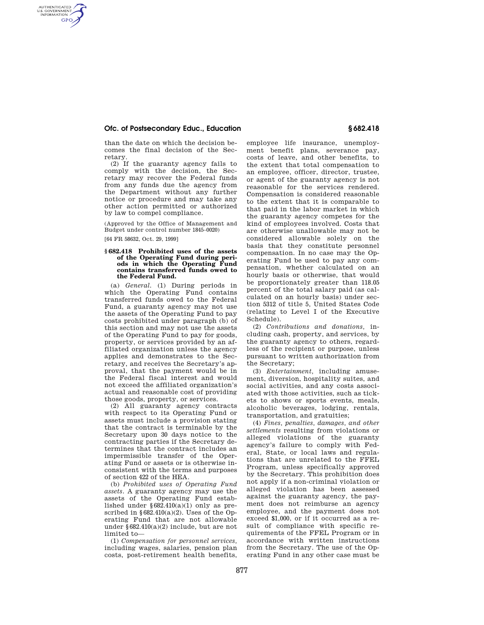### **Ofc. of Postsecondary Educ., Education § 682.418**

than the date on which the decision becomes the final decision of the Secretary.

(2) If the guaranty agency fails to comply with the decision, the Secretary may recover the Federal funds from any funds due the agency from the Department without any further notice or procedure and may take any other action permitted or authorized by law to compel compliance.

(Approved by the Office of Management and Budget under control number 1845–0020)

[64 FR 58632, Oct. 29, 1999]

AUTHENTICATED<br>U.S. GOVERNMENT<br>INFORMATION **GPO** 

#### **§ 682.418 Prohibited uses of the assets of the Operating Fund during periods in which the Operating Fund contains transferred funds owed to the Federal Fund.**

(a) *General.* (1) During periods in which the Operating Fund contains transferred funds owed to the Federal Fund, a guaranty agency may not use the assets of the Operating Fund to pay costs prohibited under paragraph (b) of this section and may not use the assets of the Operating Fund to pay for goods, property, or services provided by an affiliated organization unless the agency applies and demonstrates to the Secretary, and receives the Secretary's approval, that the payment would be in the Federal fiscal interest and would not exceed the affiliated organization's actual and reasonable cost of providing those goods, property, or services.

(2) All guaranty agency contracts with respect to its Operating Fund or assets must include a provision stating that the contract is terminable by the Secretary upon 30 days notice to the contracting parties if the Secretary determines that the contract includes an impermissible transfer of the Operating Fund or assets or is otherwise inconsistent with the terms and purposes of section 422 of the HEA.

(b) *Prohibited uses of Operating Fund assets.* A guaranty agency may use the assets of the Operating Fund established under  $\S 682.410(a)(1)$  only as prescribed in  $\S 682.410(a)(2)$ . Uses of the Operating Fund that are not allowable under §682.410(a)(2) include, but are not limited to—

(1) *Compensation for personnel services,*  including wages, salaries, pension plan costs, post-retirement health benefits, employee life insurance, unemployment benefit plans, severance pay, costs of leave, and other benefits, to the extent that total compensation to an employee, officer, director, trustee, or agent of the guaranty agency is not reasonable for the services rendered. Compensation is considered reasonable to the extent that it is comparable to that paid in the labor market in which the guaranty agency competes for the kind of employees involved. Costs that are otherwise unallowable may not be considered allowable solely on the basis that they constitute personnel compensation. In no case may the Operating Fund be used to pay any compensation, whether calculated on an hourly basis or otherwise, that would be proportionately greater than 118.05 percent of the total salary paid (as calculated on an hourly basis) under section 5312 of title 5, United States Code (relating to Level I of the Executive Schedule).

(2) *Contributions and donations,* including cash, property, and services, by the guaranty agency to others, regardless of the recipient or purpose, unless pursuant to written authorization from the Secretary;

(3) *Entertainment,* including amusement, diversion, hospitality suites, and social activities, and any costs associated with those activities, such as tickets to shows or sports events, meals, alcoholic beverages, lodging, rentals, transportation, and gratuities;

(4) *Fines, penalties, damages, and other settlements* resulting from violations or alleged violations of the guaranty agency's failure to comply with Federal, State, or local laws and regulations that are unrelated to the FFEL Program, unless specifically approved by the Secretary. This prohibition does not apply if a non-criminal violation or alleged violation has been assessed against the guaranty agency, the payment does not reimburse an agency employee, and the payment does not exceed \$1,000, or if it occurred as a result of compliance with specific requirements of the FFEL Program or in accordance with written instructions from the Secretary. The use of the Operating Fund in any other case must be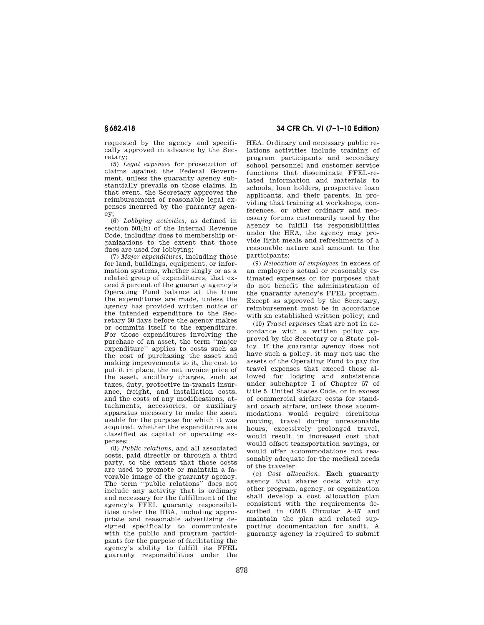requested by the agency and specifically approved in advance by the Secretary;

(5) *Legal expenses* for prosecution of claims against the Federal Government, unless the guaranty agency substantially prevails on those claims. In that event, the Secretary approves the reimbursement of reasonable legal expenses incurred by the guaranty agency;

(6) *Lobbying activities,* as defined in section 501(h) of the Internal Revenue Code, including dues to membership organizations to the extent that those dues are used for lobbying;

(7) *Major expenditures,* including those for land, buildings, equipment, or information systems, whether singly or as a related group of expenditures, that exceed 5 percent of the guaranty agency's Operating Fund balance at the time the expenditures are made, unless the agency has provided written notice of the intended expenditure to the Secretary 30 days before the agency makes or commits itself to the expenditure. For those expenditures involving the purchase of an asset, the term ''major expenditure'' applies to costs such as the cost of purchasing the asset and making improvements to it, the cost to put it in place, the net invoice price of the asset, ancillary charges, such as taxes, duty, protective in-transit insurance, freight, and installation costs, and the costs of any modifications, attachments, accessories, or auxiliary apparatus necessary to make the asset usable for the purpose for which it was acquired, whether the expenditures are classified as capital or operating expenses;

(8) *Public relations,* and all associated costs, paid directly or through a third party, to the extent that those costs are used to promote or maintain a favorable image of the guaranty agency. The term ''public relations'' does not include any activity that is ordinary and necessary for the fulfillment of the agency's FFEL guaranty responsibilities under the HEA, including appropriate and reasonable advertising designed specifically to communicate with the public and program participants for the purpose of facilitating the agency's ability to fulfill its FFEL guaranty responsibilities under the

# **§ 682.418 34 CFR Ch. VI (7–1–10 Edition)**

HEA. Ordinary and necessary public relations activities include training of program participants and secondary school personnel and customer service functions that disseminate FFEL-related information and materials to schools, loan holders, prospective loan applicants, and their parents. In providing that training at workshops, conferences, or other ordinary and necessary forums customarily used by the agency to fulfill its responsibilities under the HEA, the agency may provide light meals and refreshments of a reasonable nature and amount to the participants;

(9) *Relocation of employees* in excess of an employee's actual or reasonably estimated expenses or for purposes that do not benefit the administration of the guaranty agency's FFEL program. Except as approved by the Secretary, reimbursement must be in accordance with an established written policy; and

(10) *Travel expenses* that are not in accordance with a written policy approved by the Secretary or a State policy. If the guaranty agency does not have such a policy, it may not use the assets of the Operating Fund to pay for travel expenses that exceed those allowed for lodging and subsistence under subchapter I of Chapter 57 of title 5, United States Code, or in excess of commercial airfare costs for standard coach airfare, unless those accommodations would require circuitous routing, travel during unreasonable hours, excessively prolonged travel, would result in increased cost that would offset transportation savings, or would offer accommodations not reasonably adequate for the medical needs of the traveler.

(c) *Cost allocation.* Each guaranty agency that shares costs with any other program, agency, or organization shall develop a cost allocation plan consistent with the requirements described in OMB Circular A–87 and maintain the plan and related supporting documentation for audit. A guaranty agency is required to submit